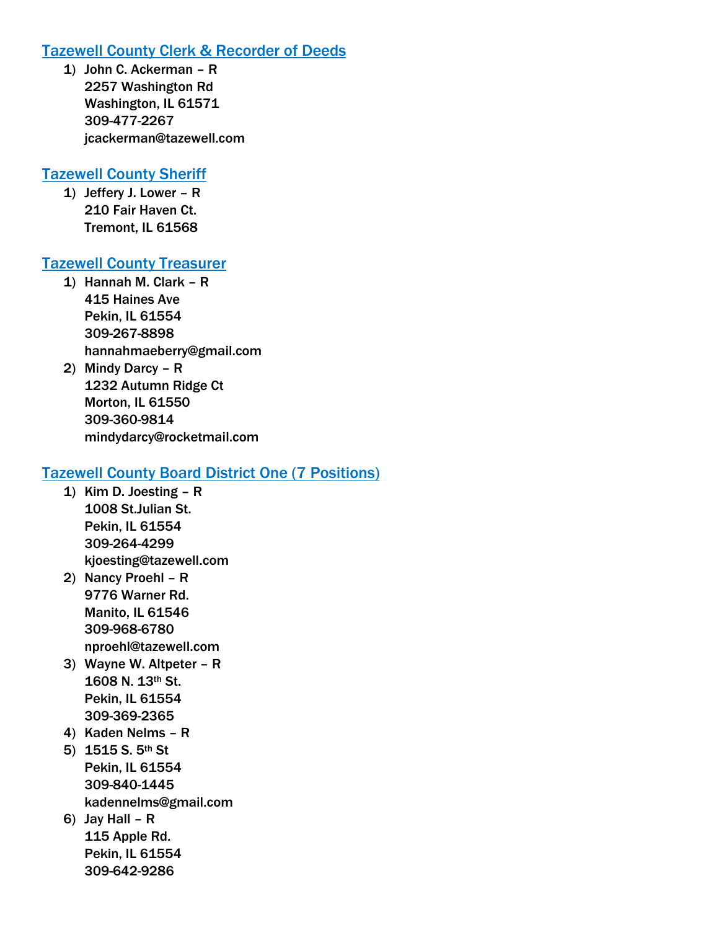# Tazewell County Clerk & Recorder of Deeds

1) John C. Ackerman – R 2257 Washington Rd Washington, IL 61571 309-477-2267 jcackerman@tazewell.com

# Tazewell County Sheriff

1) Jeffery J. Lower – R 210 Fair Haven Ct. Tremont, IL 61568

# Tazewell County Treasurer

- 1) Hannah M. Clark R 415 Haines Ave Pekin, IL 61554 309-267-8898 hannahmaeberry@gmail.com
- 2) Mindy Darcy R 1232 Autumn Ridge Ct Morton, IL 61550 309-360-9814 mindydarcy@rocketmail.com

# Tazewell County Board District One (7 Positions)

- 1) Kim D. Joesting R 1008 St.Julian St. Pekin, IL 61554 309-264-4299 kjoesting@tazewell.com
- 2) Nancy Proehl R 9776 Warner Rd. Manito, IL 61546 309-968-6780 nproehl@tazewell.com
- 3) Wayne W. Altpeter R 1608 N. 13th St. Pekin, IL 61554 309-369-2365
- 4) Kaden Nelms R
- 5) 1515 S. 5th St Pekin, IL 61554 309-840-1445 kadennelms@gmail.com
- 6) Jay Hall R 115 Apple Rd. Pekin, IL 61554 309-642-9286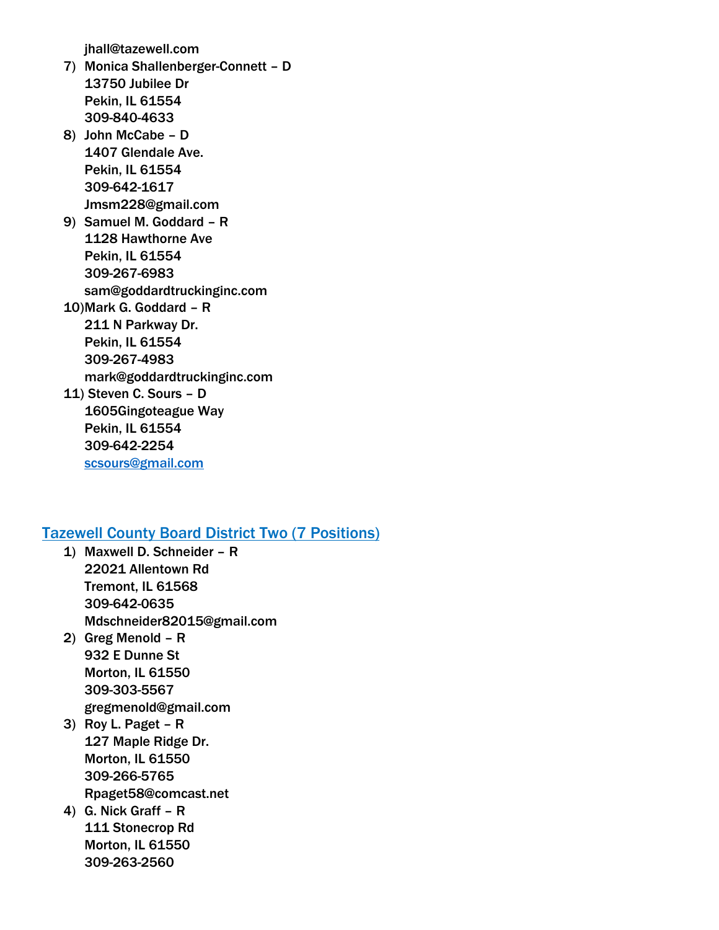jhall@tazewell.com

- 7) Monica Shallenberger-Connett D 13750 Jubilee Dr Pekin, IL 61554 309-840-4633
- 8) John McCabe D 1407 Glendale Ave. Pekin, IL 61554 309-642-1617 Jmsm228@gmail.com
- 9) Samuel M. Goddard R 1128 Hawthorne Ave Pekin, IL 61554 309-267-6983 sam@goddardtruckinginc.com
- 10)Mark G. Goddard R 211 N Parkway Dr. Pekin, IL 61554 309-267-4983 mark@goddardtruckinginc.com
- 11) Steven C. Sours D 1605Gingoteague Way Pekin, IL 61554 309-642-2254 [scsours@gmail.com](mailto:scsours@gmail.com)

# Tazewell County Board District Two (7 Positions)

- 1) Maxwell D. Schneider R 22021 Allentown Rd Tremont, IL 61568 309-642-0635 Mdschneider82015@gmail.com
- 2) Greg Menold R 932 E Dunne St Morton, IL 61550 309-303-5567 gregmenold@gmail.com
- 3) Roy L. Paget R 127 Maple Ridge Dr. Morton, IL 61550 309-266-5765 Rpaget58@comcast.net
- 4) G. Nick Graff R 111 Stonecrop Rd Morton, IL 61550 309-263-2560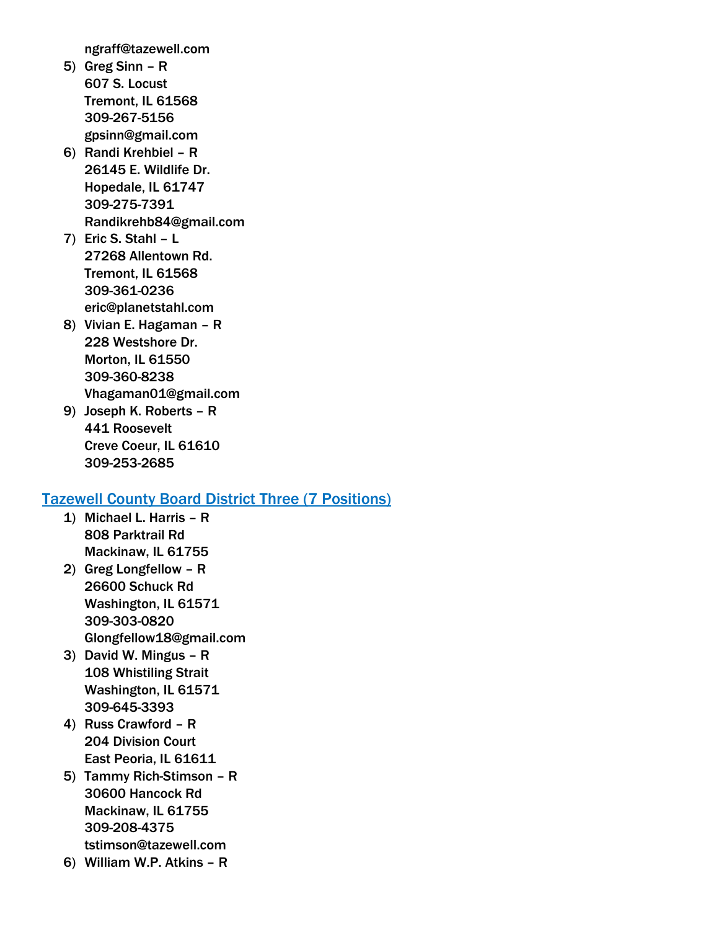ngraff@tazewell.com

- 5) Greg Sinn R 607 S. Locust Tremont, IL 61568 309-267-5156 gpsinn@gmail.com
- 6) Randi Krehbiel R 26145 E. Wildlife Dr. Hopedale, IL 61747 309-275-7391 Randikrehb84@gmail.com
- 7) Eric S. Stahl L 27268 Allentown Rd. Tremont, IL 61568 309-361-0236 eric@planetstahl.com
- 8) Vivian E. Hagaman R 228 Westshore Dr. Morton, IL 61550 309-360-8238 Vhagaman01@gmail.com
- 9) Joseph K. Roberts R 441 Roosevelt Creve Coeur, IL 61610 309-253-2685

# Tazewell County Board District Three (7 Positions)

- 1) Michael L. Harris R 808 Parktrail Rd Mackinaw, IL 61755
- 2) Greg Longfellow R 26600 Schuck Rd Washington, IL 61571 309-303-0820 Glongfellow18@gmail.com
- 3) David W. Mingus R 108 Whistiling Strait Washington, IL 61571 309-645-3393
- 4) Russ Crawford R 204 Division Court East Peoria, IL 61611
- 5) Tammy Rich-Stimson R 30600 Hancock Rd Mackinaw, IL 61755 309-208-4375 tstimson@tazewell.com
- 6) William W.P. Atkins R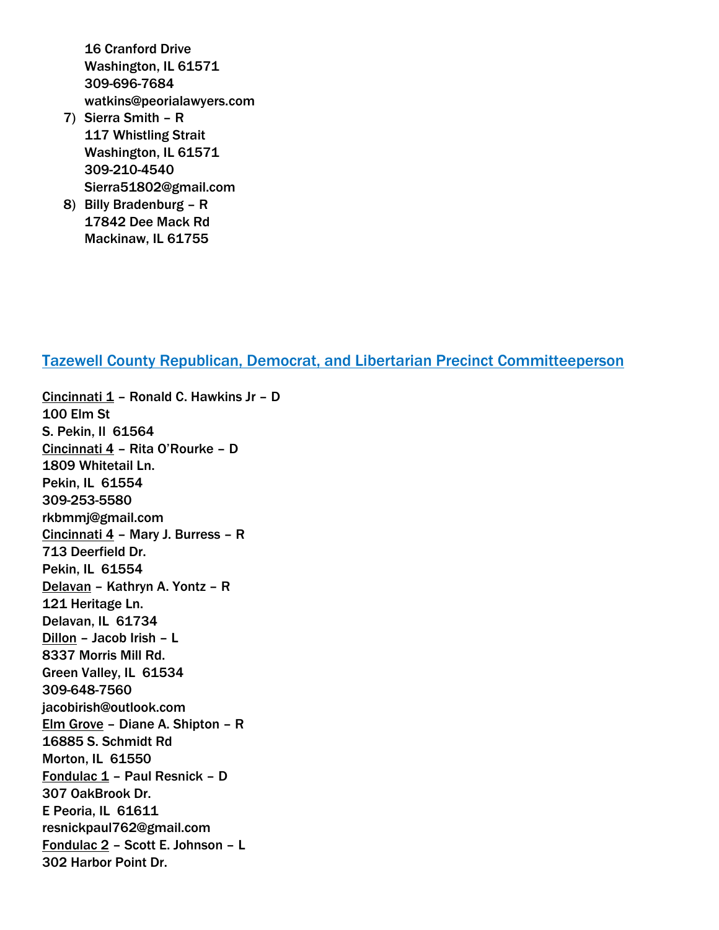16 Cranford Drive Washington, IL 61571 309-696-7684 watkins@peorialawyers.com

- 7) Sierra Smith R 117 Whistling Strait Washington, IL 61571 309-210-4540 Sierra51802@gmail.com
- 8) Billy Bradenburg R 17842 Dee Mack Rd Mackinaw, IL 61755

## Tazewell County Republican, Democrat, and Libertarian Precinct Committeeperson

Cincinnati  $1$  – Ronald C. Hawkins Jr – D 100 Elm St S. Pekin, Il 61564 Cincinnati 4 – Rita O'Rourke – D 1809 Whitetail Ln. Pekin, IL 61554 309-253-5580 rkbmmj@gmail.com Cincinnati 4 – Mary J. Burress – R 713 Deerfield Dr. Pekin, IL 61554 Delavan – Kathryn A. Yontz – R 121 Heritage Ln. Delavan, IL 61734 Dillon – Jacob Irish – L 8337 Morris Mill Rd. Green Valley, IL 61534 309-648-7560 jacobirish@outlook.com Elm Grove – Diane A. Shipton – R 16885 S. Schmidt Rd Morton, IL 61550 Fondulac 1 – Paul Resnick – D 307 OakBrook Dr. E Peoria, IL 61611 resnickpaul762@gmail.com Fondulac 2 – Scott E. Johnson – L 302 Harbor Point Dr.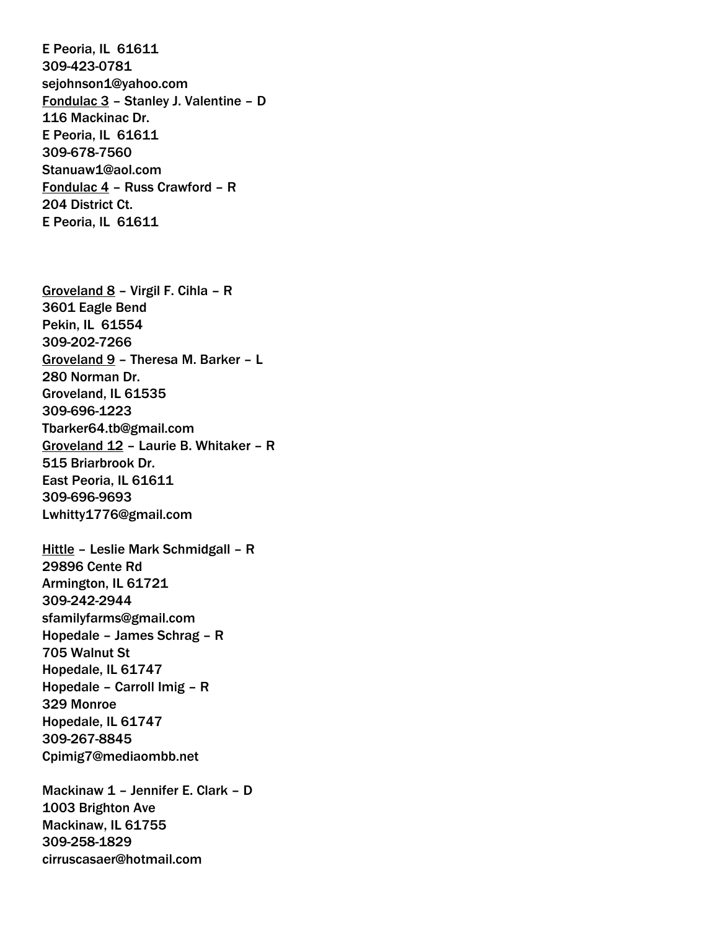E Peoria, IL 61611 309-423-0781 sejohnson1@yahoo.com Fondulac 3 – Stanley J. Valentine – D 116 Mackinac Dr. E Peoria, IL 61611 309-678-7560 Stanuaw1@aol.com Fondulac 4 – Russ Crawford – R 204 District Ct. E Peoria, IL 61611

Groveland 8 – Virgil F. Cihla – R 3601 Eagle Bend Pekin, IL 61554 309-202-7266 Groveland 9 – Theresa M. Barker – L 280 Norman Dr. Groveland, IL 61535 309-696-1223 Tbarker64.tb@gmail.com Groveland 12 – Laurie B. Whitaker – R 515 Briarbrook Dr. East Peoria, IL 61611 309-696-9693 Lwhitty1776@gmail.com

Hittle – Leslie Mark Schmidgall – R 29896 Cente Rd Armington, IL 61721 309-242-2944 sfamilyfarms@gmail.com Hopedale – James Schrag – R 705 Walnut St Hopedale, IL 61747 Hopedale – Carroll Imig – R 329 Monroe Hopedale, IL 61747 309-267-8845 Cpimig7@mediaombb.net

Mackinaw 1 – Jennifer E. Clark – D 1003 Brighton Ave Mackinaw, IL 61755 309-258-1829 cirruscasaer@hotmail.com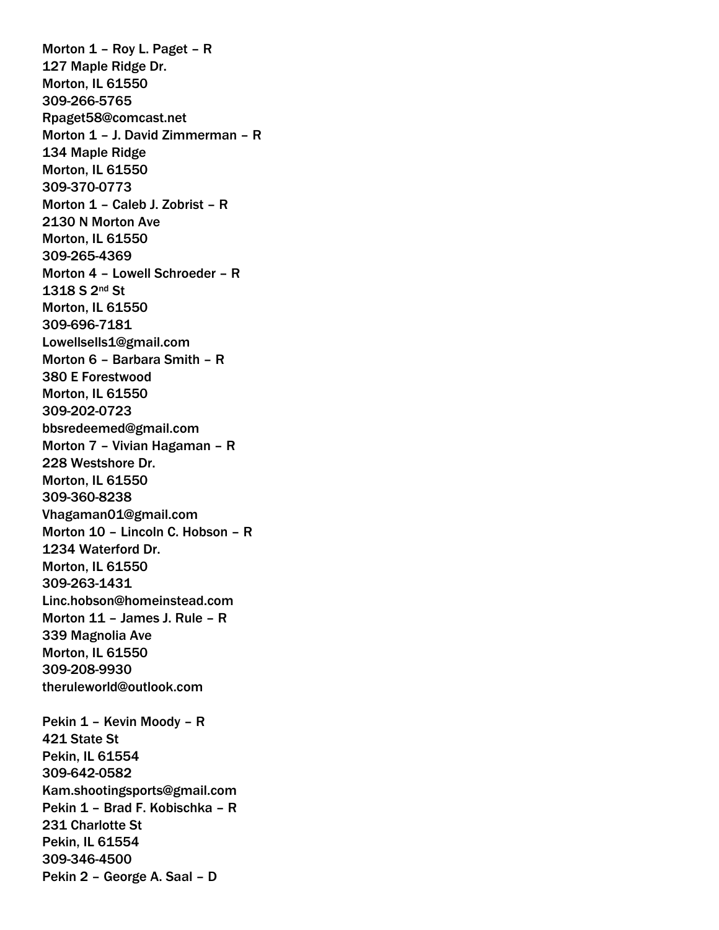Morton 1 – Roy L. Paget – R 127 Maple Ridge Dr. Morton, IL 61550 309-266-5765 Rpaget58@comcast.net Morton 1 – J. David Zimmerman – R 134 Maple Ridge Morton, IL 61550 309-370-0773 Morton 1 – Caleb J. Zobrist – R 2130 N Morton Ave Morton, IL 61550 309-265-4369 Morton 4 – Lowell Schroeder – R 1318 S 2nd St Morton, IL 61550 309-696-7181 Lowellsells1@gmail.com Morton 6 – Barbara Smith – R 380 E Forestwood Morton, IL 61550 309-202-0723 bbsredeemed@gmail.com Morton 7 – Vivian Hagaman – R 228 Westshore Dr. Morton, IL 61550 309-360-8238 Vhagaman01@gmail.com Morton 10 – Lincoln C. Hobson – R 1234 Waterford Dr. Morton, IL 61550 309-263-1431 Linc.hobson@homeinstead.com Morton 11 – James J. Rule – R 339 Magnolia Ave Morton, IL 61550 309-208-9930 theruleworld@outlook.com Pekin 1 – Kevin Moody – R 421 State St Pekin, IL 61554 309-642-0582 Kam.shootingsports@gmail.com Pekin 1 – Brad F. Kobischka – R 231 Charlotte St Pekin, IL 61554 309-346-4500 Pekin 2 – George A. Saal – D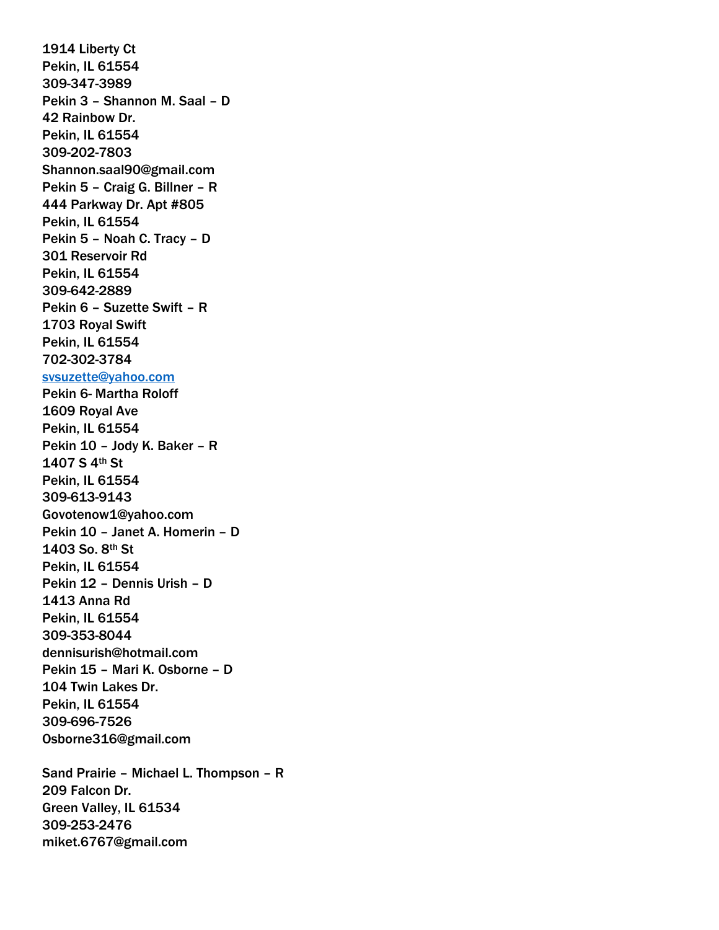1914 Liberty Ct Pekin, IL 61554 309-347-3989 Pekin 3 – Shannon M. Saal – D 42 Rainbow Dr. Pekin, IL 61554 309-202-7803 Shannon.saal90@gmail.com Pekin 5 – Craig G. Billner – R 444 Parkway Dr. Apt #805 Pekin, IL 61554 Pekin 5 – Noah C. Tracy – D 301 Reservoir Rd Pekin, IL 61554 309-642-2889 Pekin 6 – Suzette Swift – R 1703 Royal Swift Pekin, IL 61554 702-302-3784 [svsuzette@yahoo.com](mailto:svsuzette@yahoo.com) Pekin 6- Martha Roloff 1609 Royal Ave Pekin, IL 61554 Pekin 10 – Jody K. Baker – R 1407 S 4th St Pekin, IL 61554 309-613-9143 Govotenow1@yahoo.com Pekin 10 – Janet A. Homerin – D 1403 So. 8th St Pekin, IL 61554 Pekin 12 – Dennis Urish – D 1413 Anna Rd Pekin, IL 61554 309-353-8044 dennisurish@hotmail.com Pekin 15 – Mari K. Osborne – D 104 Twin Lakes Dr. Pekin, IL 61554 309-696-7526 Osborne316@gmail.com Sand Prairie – Michael L. Thompson – R 209 Falcon Dr. Green Valley, IL 61534 309-253-2476 miket.6767@gmail.com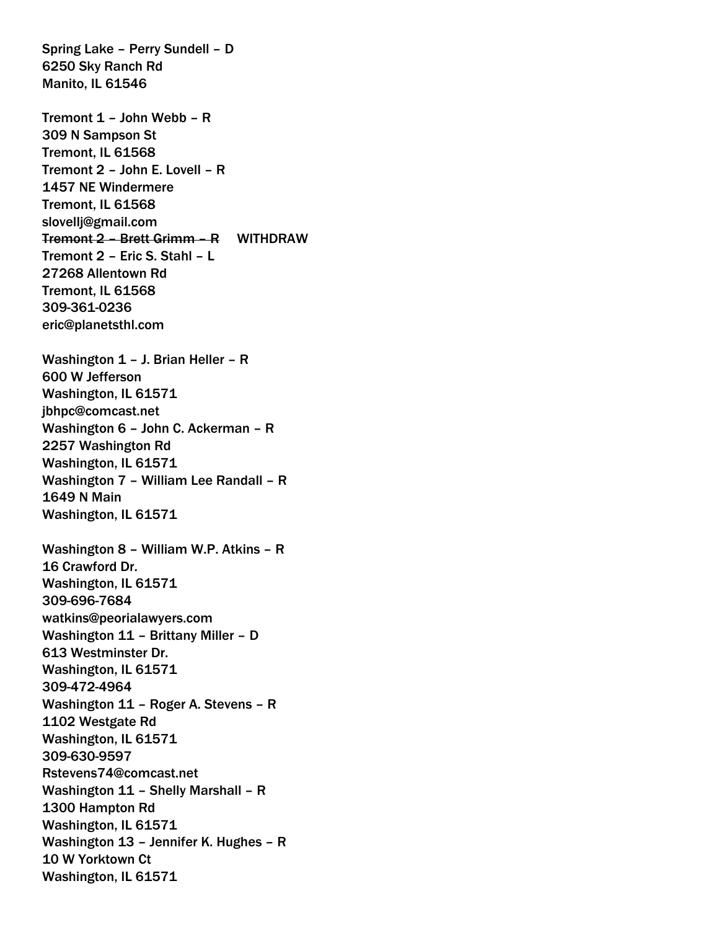Spring Lake – Perry Sundell – D 6250 Sky Ranch Rd Manito, IL 61546

Tremont 1 – John Webb – R 309 N Sampson St Tremont, IL 61568 Tremont 2 – John E. Lovell – R 1457 NE Windermere Tremont, IL 61568 slovellj@gmail.com Tremont 2 – Brett Grimm – R WITHDRAW Tremont 2 – Eric S. Stahl – L 27268 Allentown Rd Tremont, IL 61568 309-361-0236 eric@planetsthl.com Washington 1 – J. Brian Heller – R 600 W Jefferson Washington, IL 61571 jbhpc@comcast.net Washington 6 – John C. Ackerman – R 2257 Washington Rd Washington, IL 61571 Washington 7 – William Lee Randall – R 1649 N Main Washington, IL 61571 Washington 8 – William W.P. Atkins – R 16 Crawford Dr. Washington, IL 61571 309-696-7684 watkins@peorialawyers.com Washington 11 – Brittany Miller – D 613 Westminster Dr. Washington, IL 61571 309-472-4964 Washington 11 – Roger A. Stevens – R 1102 Westgate Rd Washington, IL 61571 309-630-9597 Rstevens74@comcast.net Washington 11 – Shelly Marshall – R 1300 Hampton Rd Washington, IL 61571 Washington 13 – Jennifer K. Hughes – R 10 W Yorktown Ct Washington, IL 61571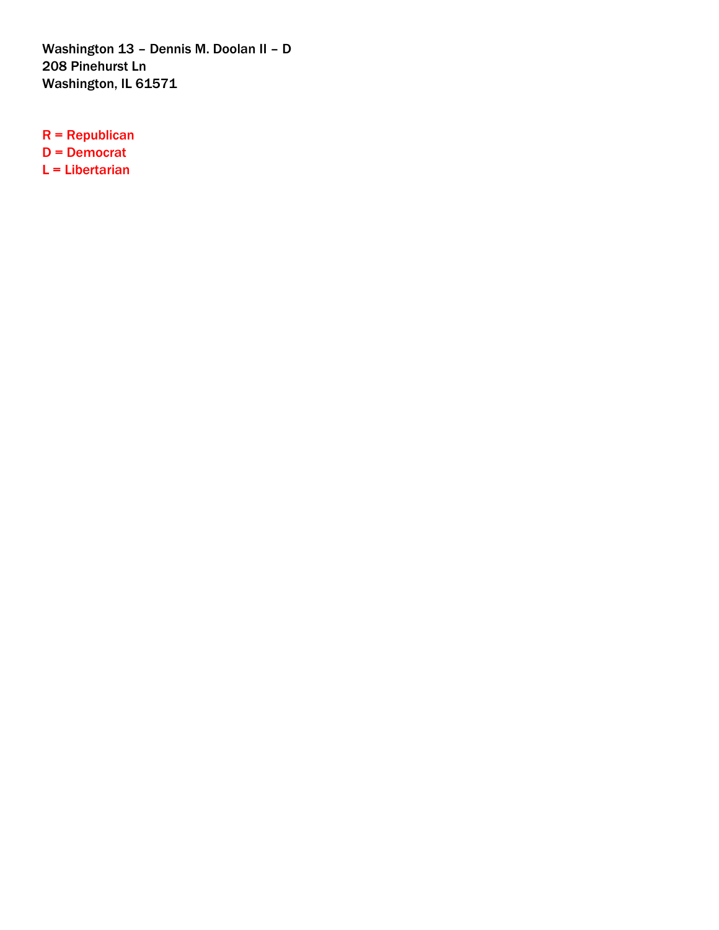Washington 13 – Dennis M. Doolan II – D 208 Pinehurst Ln Washington, IL 61571

R = Republican D = Democrat L = Libertarian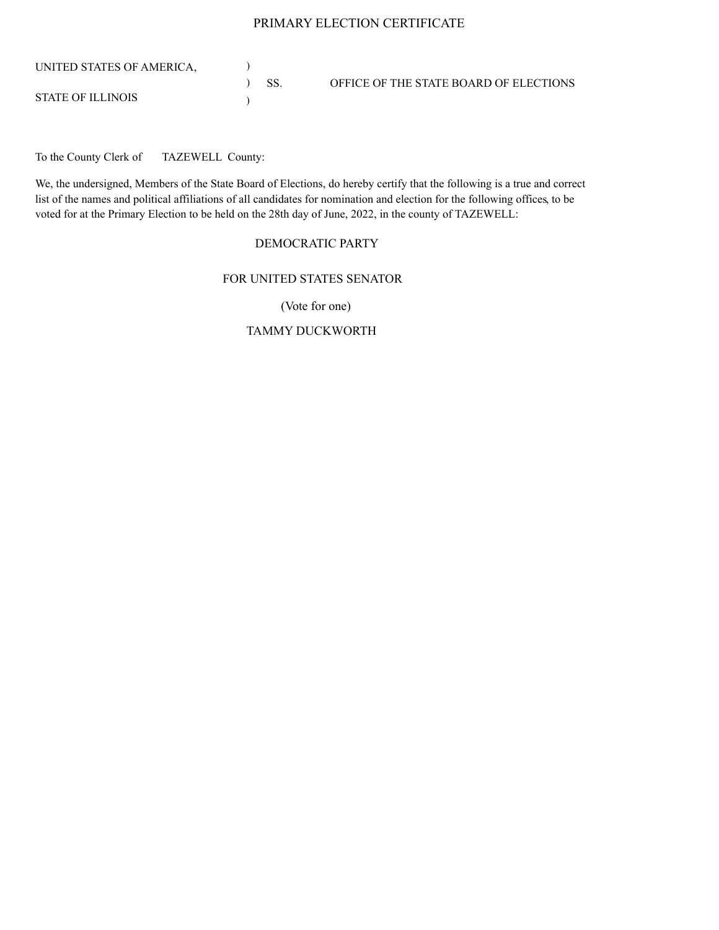#### PRIMARY ELECTION CERTIFICATE

| UNITED STATES OF AMERICA. |         |                                        |
|---------------------------|---------|----------------------------------------|
|                           | $)$ SS. | OFFICE OF THE STATE BOARD OF ELECTIONS |
| <b>STATE OF ILLINOIS</b>  |         |                                        |

To the County Clerk of TAZEWELL County:

We, the undersigned, Members of the State Board of Elections, do hereby certify that the following is a true and correct list of the names and political affiliations of all candidates for nomination and election for the following offices, to be voted for at the Primary Election to be held on the 28th day of June, 2022, in the county of TAZEWELL:

#### DEMOCRATIC PARTY

### FOR UNITED STATES SENATOR

(Vote for one)

### TAMMY DUCKWORTH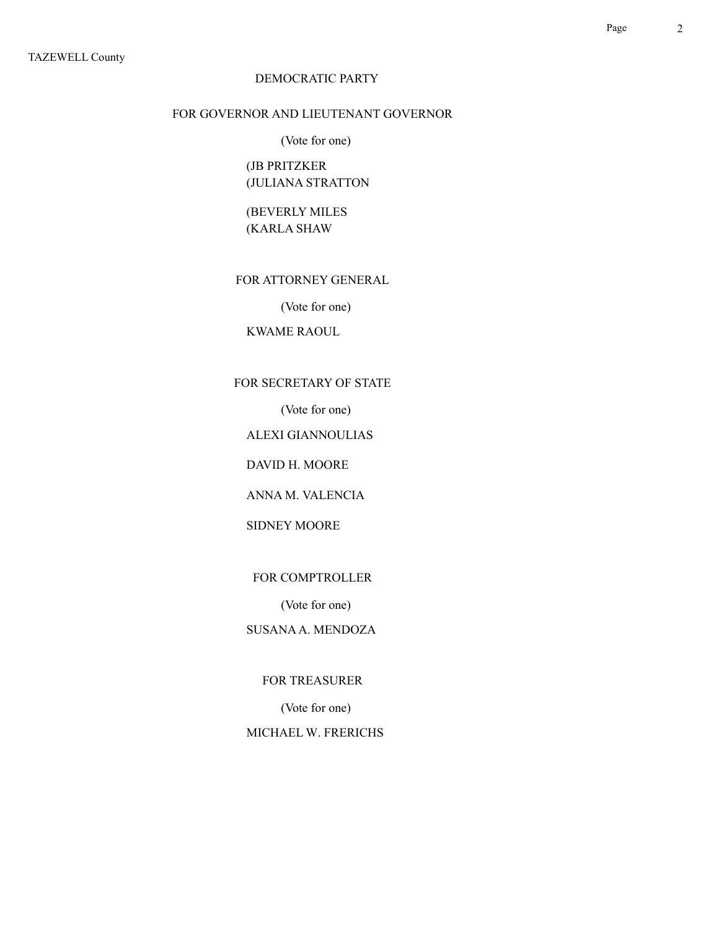### FOR GOVERNOR AND LIEUTENANT GOVERNOR

(Vote for one)

(JB PRITZKER (JULIANA STRATTON

(BEVERLY MILES (KARLA SHAW

FOR ATTORNEY GENERAL

(Vote for one)

KWAME RAOUL

FOR SECRETARY OF STATE

(Vote for one)

ALEXI GIANNOULIAS

DAVID H. MOORE

ANNA M. VALENCIA

SIDNEY MOORE

FOR COMPTROLLER

(Vote for one)

SUSANA A. MENDOZA

FOR TREASURER

(Vote for one)

MICHAEL W. FRERICHS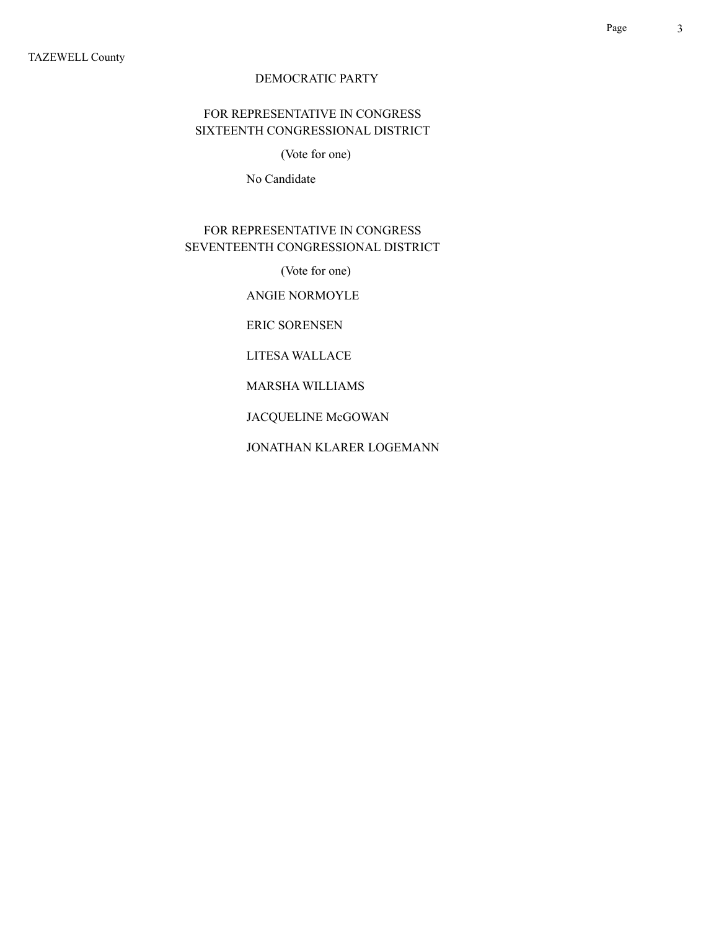## FOR REPRESENTATIVE IN CONGRESS SIXTEENTH CONGRESSIONAL DISTRICT

(Vote for one)

No Candidate

## FOR REPRESENTATIVE IN CONGRESS SEVENTEENTH CONGRESSIONAL DISTRICT

(Vote for one)

ANGIE NORMOYLE

ERIC SORENSEN

LITESA WALLACE

MARSHA WILLIAMS

JACQUELINE McGOWAN

JONATHAN KLARER LOGEMANN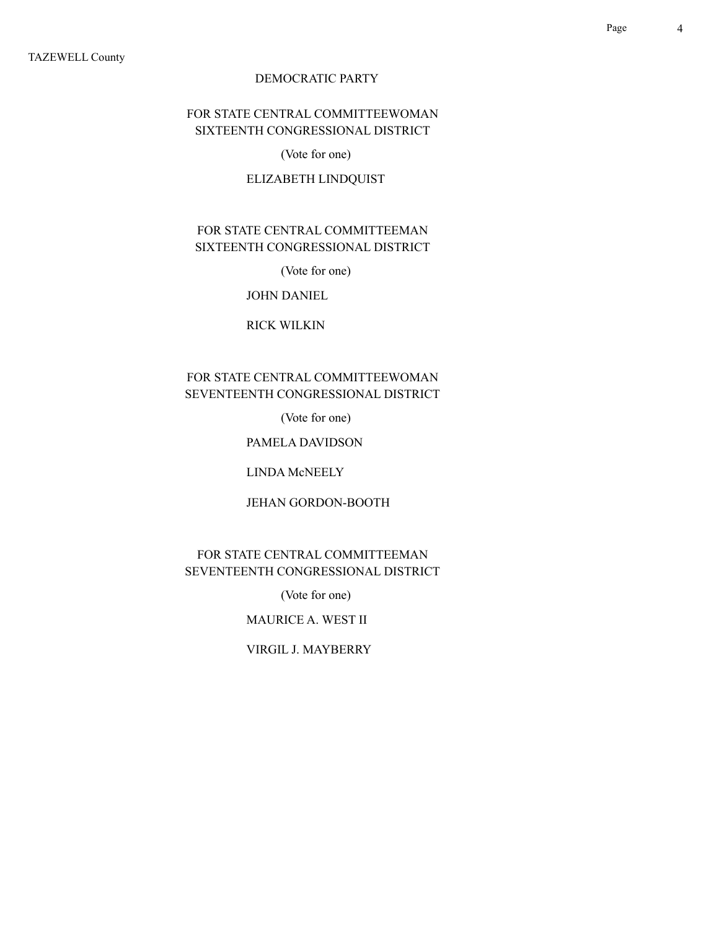## FOR STATE CENTRAL COMMITTEEWOMAN SIXTEENTH CONGRESSIONAL DISTRICT

(Vote for one)

### ELIZABETH LINDQUIST

## FOR STATE CENTRAL COMMITTEEMAN SIXTEENTH CONGRESSIONAL DISTRICT

(Vote for one)

#### JOHN DANIEL

#### RICK WILKIN

## FOR STATE CENTRAL COMMITTEEWOMAN SEVENTEENTH CONGRESSIONAL DISTRICT

(Vote for one)

#### PAMELA DAVIDSON

LINDA McNEELY

#### JEHAN GORDON-BOOTH

### FOR STATE CENTRAL COMMITTEEMAN SEVENTEENTH CONGRESSIONAL DISTRICT

(Vote for one)

MAURICE A. WEST II

#### VIRGIL J. MAYBERRY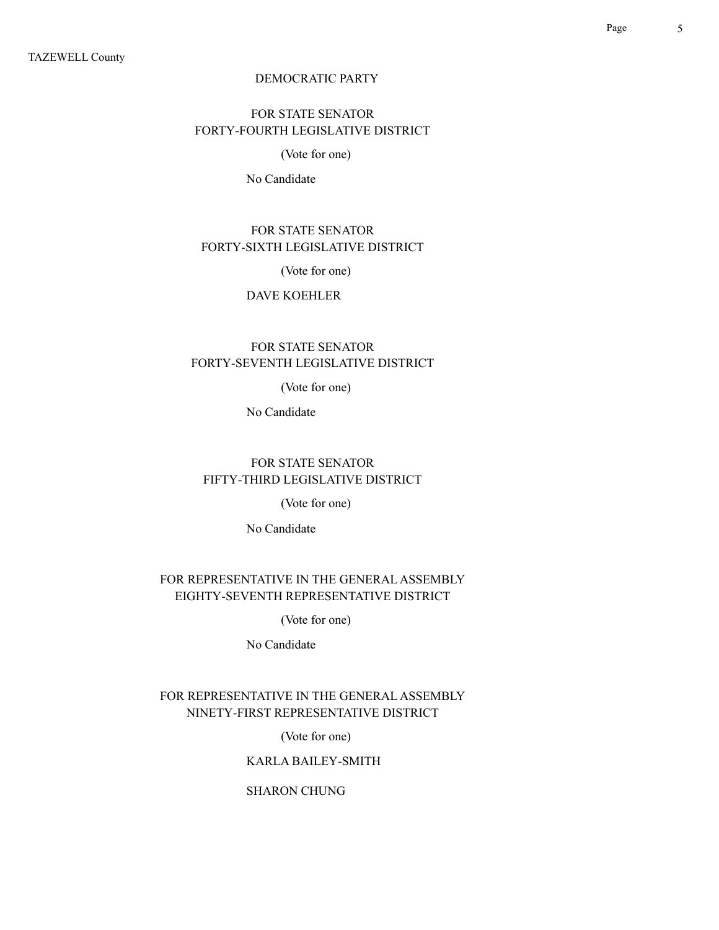## FOR STATE SENATOR FORTY-FOURTH LEGISLATIVE DISTRICT

### (Vote for one)

No Candidate

## FOR STATE SENATOR FORTY-SIXTH LEGISLATIVE DISTRICT

(Vote for one)

#### DAVE KOEHLER

## FOR STATE SENATOR FORTY-SEVENTH LEGISLATIVE DISTRICT

(Vote for one)

No Candidate

## FOR STATE SENATOR FIFTY-THIRD LEGISLATIVE DISTRICT

(Vote for one)

No Candidate

### FOR REPRESENTATIVE IN THE GENERAL ASSEMBLY EIGHTY-SEVENTH REPRESENTATIVE DISTRICT

(Vote for one)

No Candidate

## FOR REPRESENTATIVE IN THE GENERAL ASSEMBLY NINETY-FIRST REPRESENTATIVE DISTRICT

(Vote for one)

### KARLA BAILEY-SMITH

### SHARON CHUNG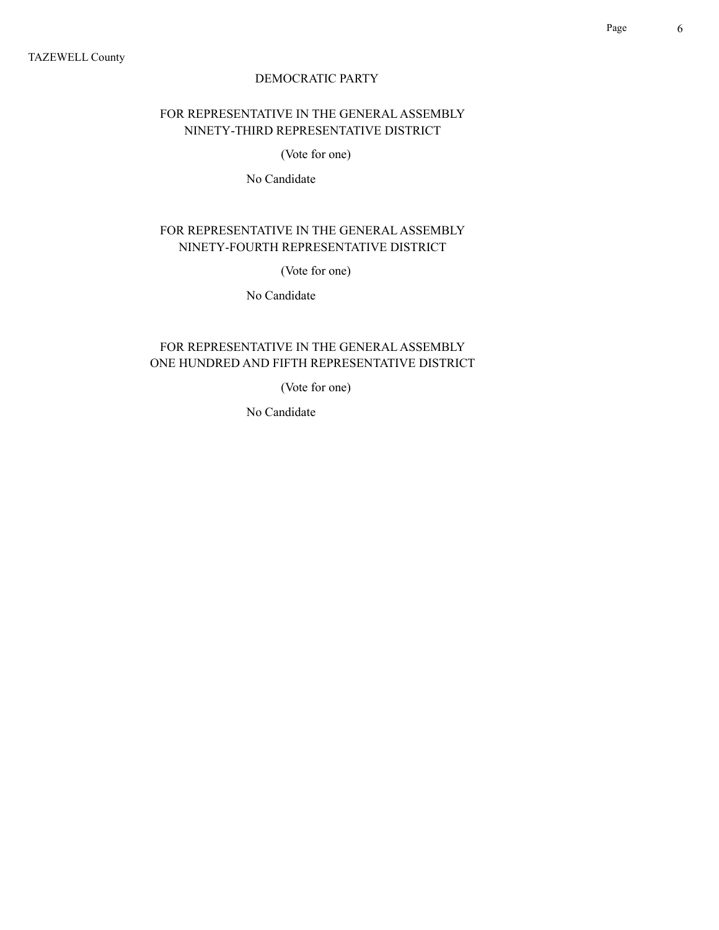## FOR REPRESENTATIVE IN THE GENERAL ASSEMBLY NINETY-THIRD REPRESENTATIVE DISTRICT

(Vote for one)

No Candidate

## FOR REPRESENTATIVE IN THE GENERAL ASSEMBLY NINETY-FOURTH REPRESENTATIVE DISTRICT

(Vote for one)

No Candidate

## FOR REPRESENTATIVE IN THE GENERAL ASSEMBLY ONE HUNDRED AND FIFTH REPRESENTATIVE DISTRICT

(Vote for one)

No Candidate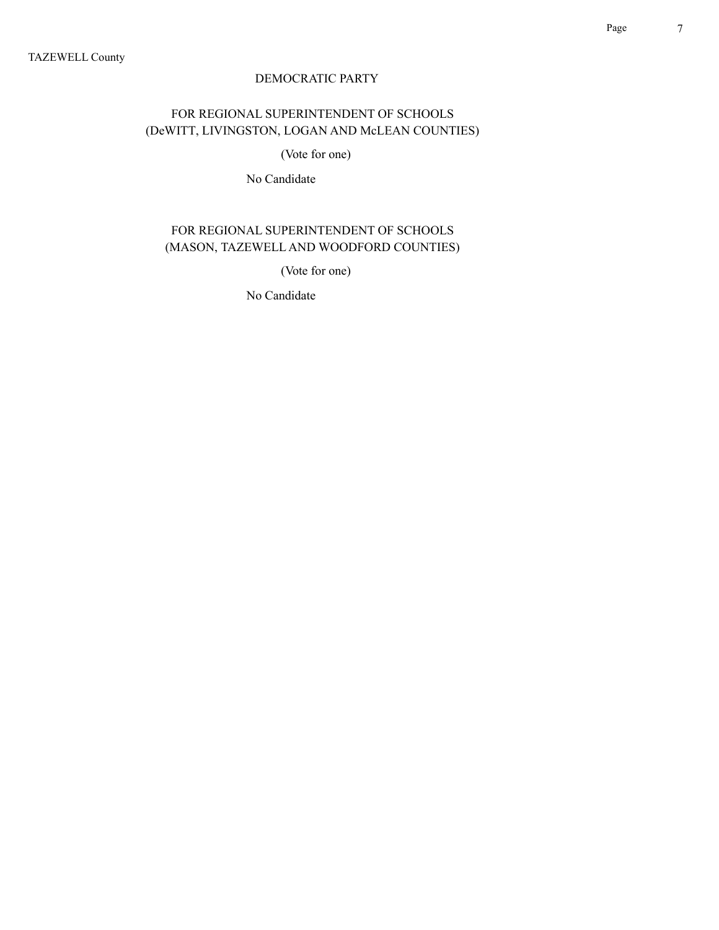## FOR REGIONAL SUPERINTENDENT OF SCHOOLS (DeWITT, LIVINGSTON, LOGAN AND McLEAN COUNTIES)

(Vote for one)

No Candidate

## FOR REGIONAL SUPERINTENDENT OF SCHOOLS (MASON, TAZEWELL AND WOODFORD COUNTIES)

(Vote for one)

No Candidate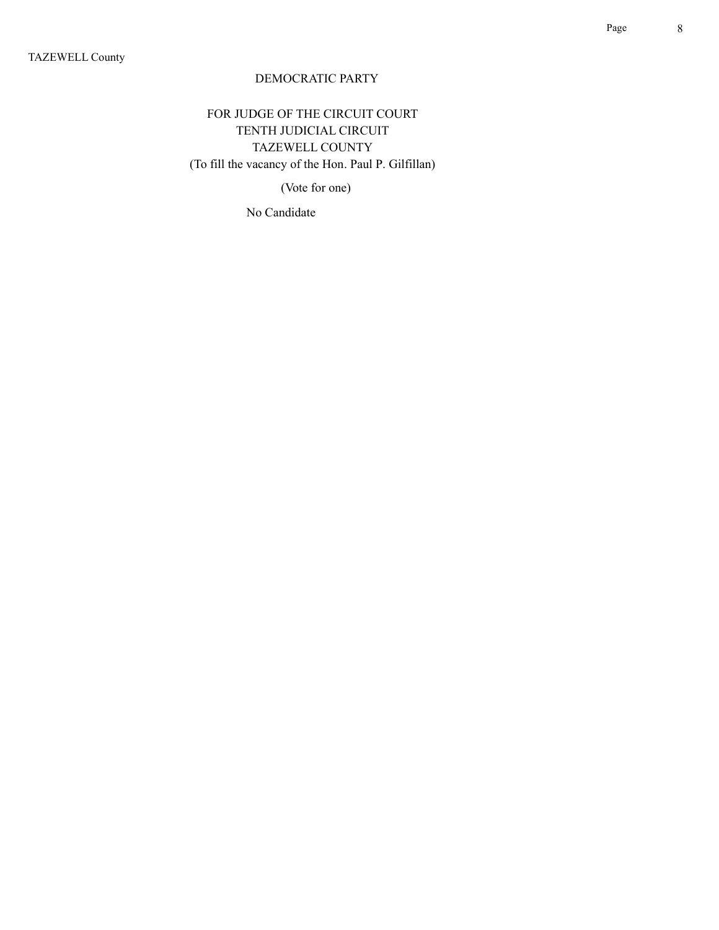FOR JUDGE OF THE CIRCUIT COURT TENTH JUDICIAL CIRCUIT TAZEWELL COUNTY (To fill the vacancy of the Hon. Paul P. Gilfillan)

(Vote for one)

No Candidate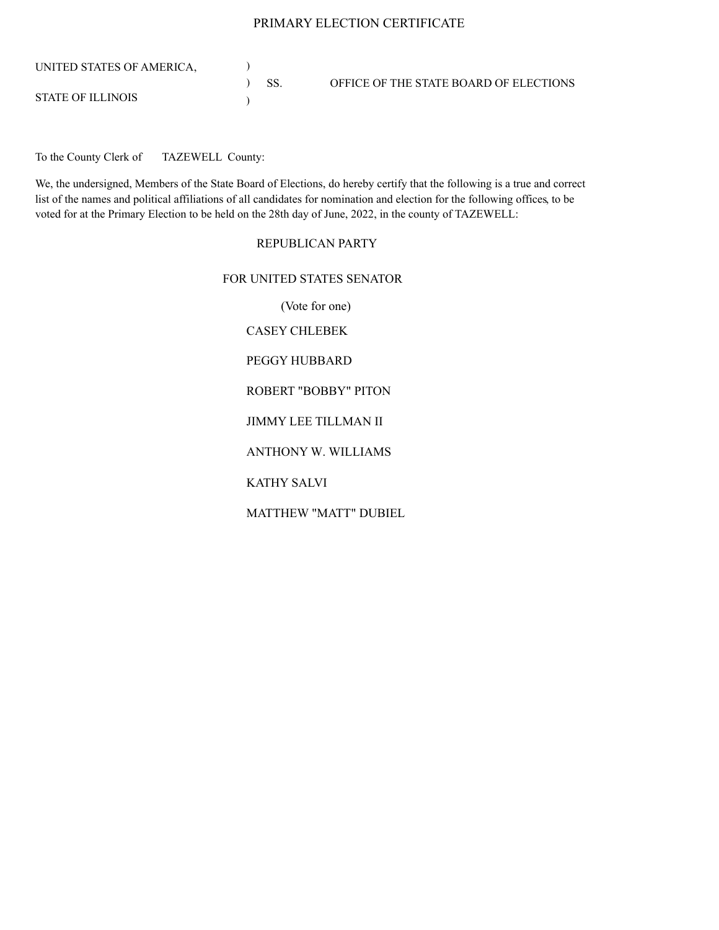#### PRIMARY ELECTION CERTIFICATE

| UNITED STATES OF AMERICA. |         |                                        |
|---------------------------|---------|----------------------------------------|
|                           | $)$ SS. | OFFICE OF THE STATE BOARD OF ELECTIONS |
| STATE OF ILLINOIS         |         |                                        |

To the County Clerk of TAZEWELL County:

We, the undersigned, Members of the State Board of Elections, do hereby certify that the following is a true and correct list of the names and political affiliations of all candidates for nomination and election for the following offices, to be voted for at the Primary Election to be held on the 28th day of June, 2022, in the county of TAZEWELL:

#### REPUBLICAN PARTY

### FOR UNITED STATES SENATOR

(Vote for one) CASEY CHLEBEK PEGGY HUBBARD ROBERT "BOBBY" PITON JIMMY LEE TILLMAN II ANTHONY W. WILLIAMS KATHY SALVI MATTHEW "MATT" DUBIEL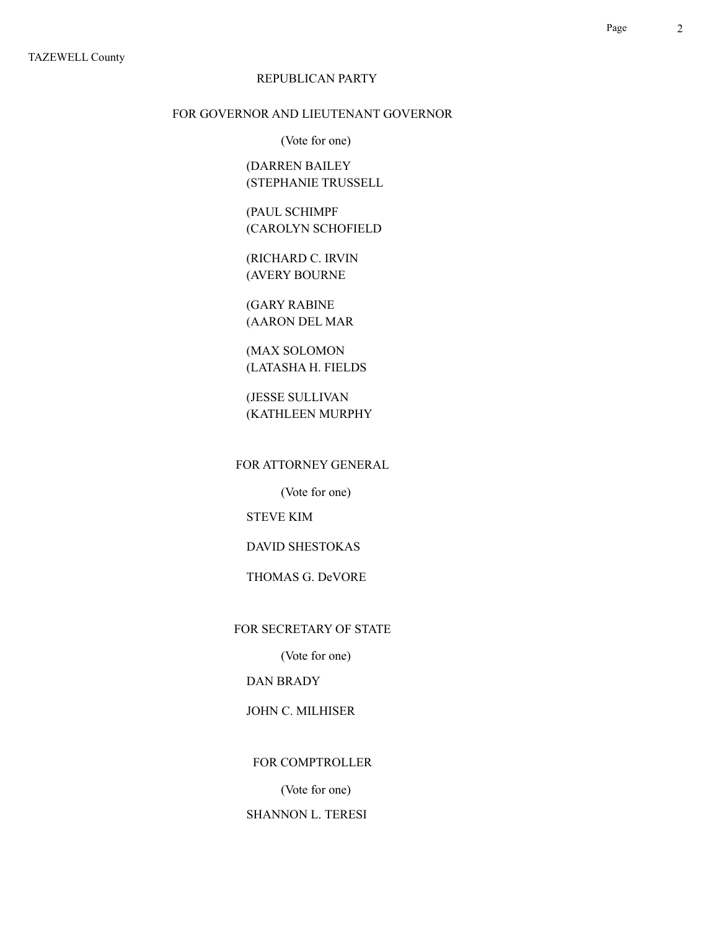### FOR GOVERNOR AND LIEUTENANT GOVERNOR

(Vote for one)

(DARREN BAILEY (STEPHANIE TRUSSELL

(PAUL SCHIMPF (CAROLYN SCHOFIELD

(RICHARD C. IRVIN (AVERY BOURNE

(GARY RABINE (AARON DEL MAR

(MAX SOLOMON (LATASHA H. FIELDS

(JESSE SULLIVAN (KATHLEEN MURPHY

FOR ATTORNEY GENERAL

(Vote for one)

STEVE KIM

DAVID SHESTOKAS

THOMAS G. DeVORE

FOR SECRETARY OF STATE

(Vote for one)

DAN BRADY

JOHN C. MILHISER

FOR COMPTROLLER

(Vote for one)

SHANNON L. TERESI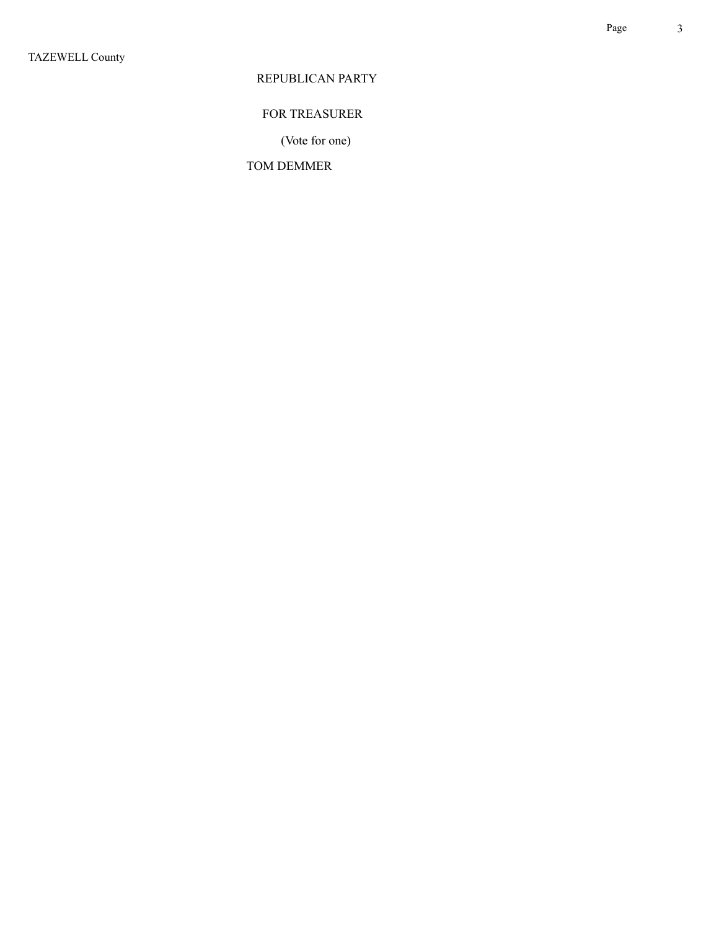## FOR TREASURER

(Vote for one)

### TOM DEMMER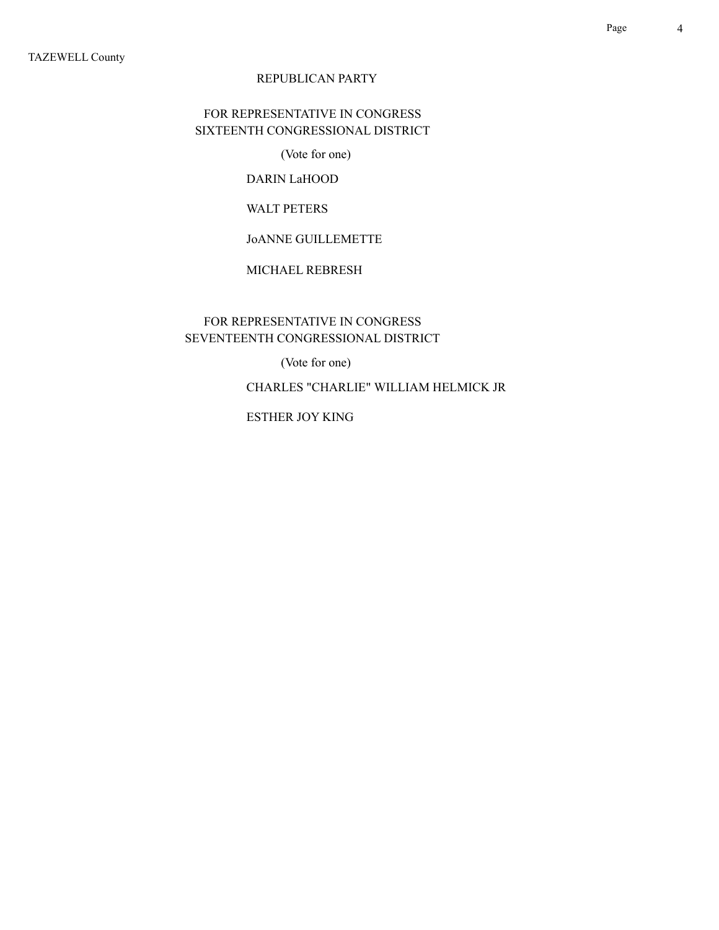## FOR REPRESENTATIVE IN CONGRESS SIXTEENTH CONGRESSIONAL DISTRICT

(Vote for one)

## DARIN LaHOOD

### WALT PETERS

## JoANNE GUILLEMETTE

### MICHAEL REBRESH

## FOR REPRESENTATIVE IN CONGRESS SEVENTEENTH CONGRESSIONAL DISTRICT

(Vote for one)

CHARLES "CHARLIE" WILLIAM HELMICK JR

ESTHER JOY KING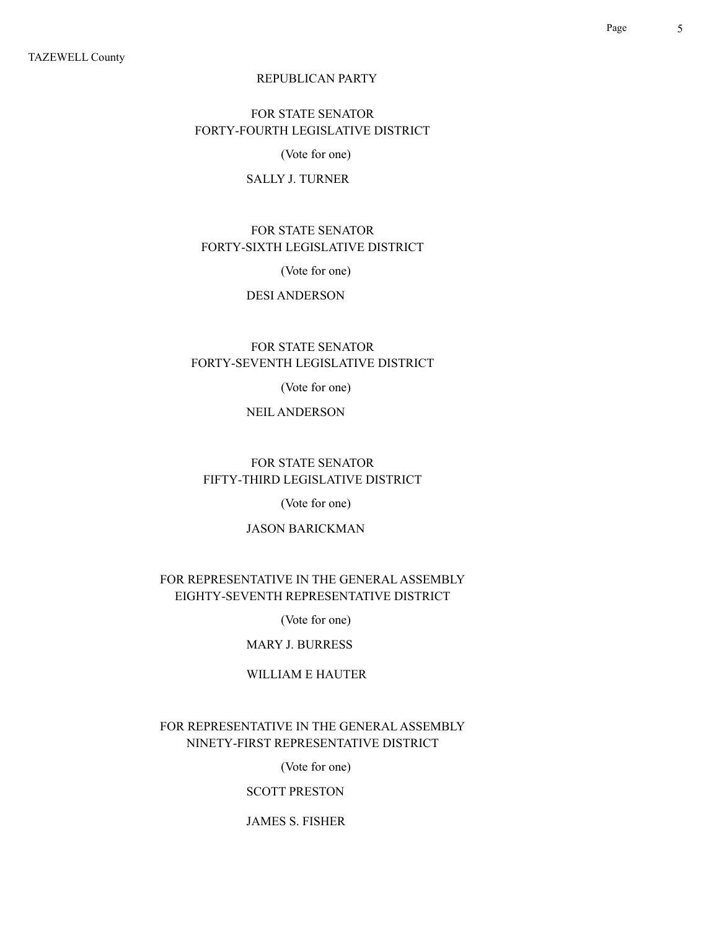## FOR STATE SENATOR FORTY-FOURTH LEGISLATIVE DISTRICT

(Vote for one)

#### SALLY J. TURNER

## FOR STATE SENATOR FORTY-SIXTH LEGISLATIVE DISTRICT

(Vote for one)

#### DESI ANDERSON

## FOR STATE SENATOR FORTY-SEVENTH LEGISLATIVE DISTRICT

(Vote for one)

#### NEIL ANDERSON

### FOR STATE SENATOR FIFTY-THIRD LEGISLATIVE DISTRICT

(Vote for one)

#### JASON BARICKMAN

### FOR REPRESENTATIVE IN THE GENERAL ASSEMBLY EIGHTY-SEVENTH REPRESENTATIVE DISTRICT

#### (Vote for one)

#### MARY J. BURRESS

#### WILLIAM E HAUTER

### FOR REPRESENTATIVE IN THE GENERAL ASSEMBLY NINETY-FIRST REPRESENTATIVE DISTRICT

(Vote for one)

#### SCOTT PRESTON

#### JAMES S. FISHER

Page 5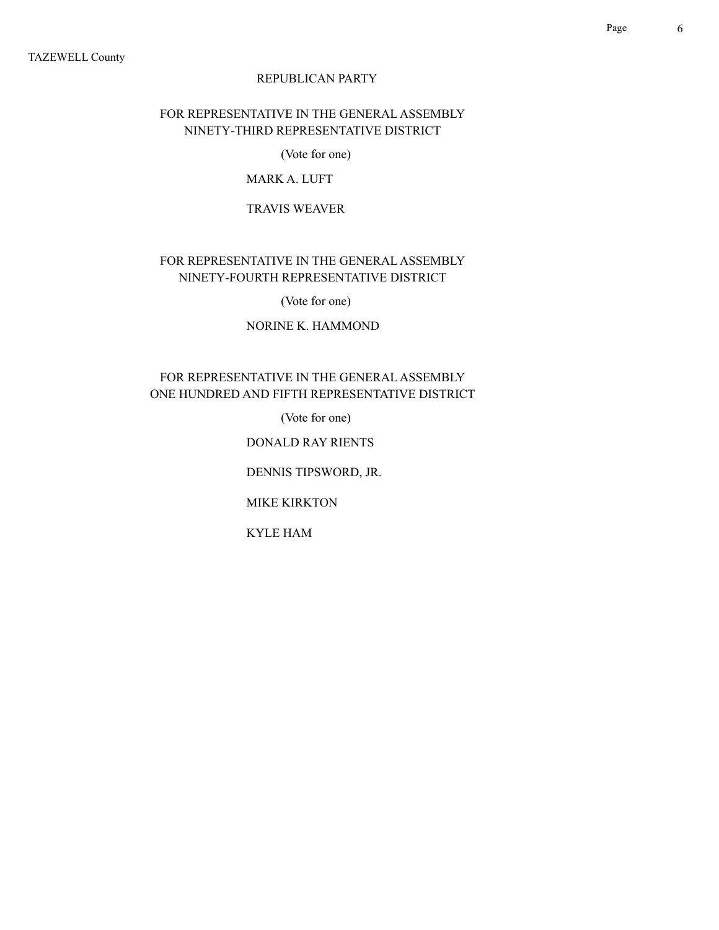## FOR REPRESENTATIVE IN THE GENERAL ASSEMBLY NINETY-THIRD REPRESENTATIVE DISTRICT

(Vote for one)

## MARK A. LUFT

#### TRAVIS WEAVER

## FOR REPRESENTATIVE IN THE GENERAL ASSEMBLY NINETY-FOURTH REPRESENTATIVE DISTRICT

(Vote for one)

### NORINE K. HAMMOND

## FOR REPRESENTATIVE IN THE GENERAL ASSEMBLY ONE HUNDRED AND FIFTH REPRESENTATIVE DISTRICT

(Vote for one)

### DONALD RAY RIENTS

DENNIS TIPSWORD, JR.

MIKE KIRKTON

KYLE HAM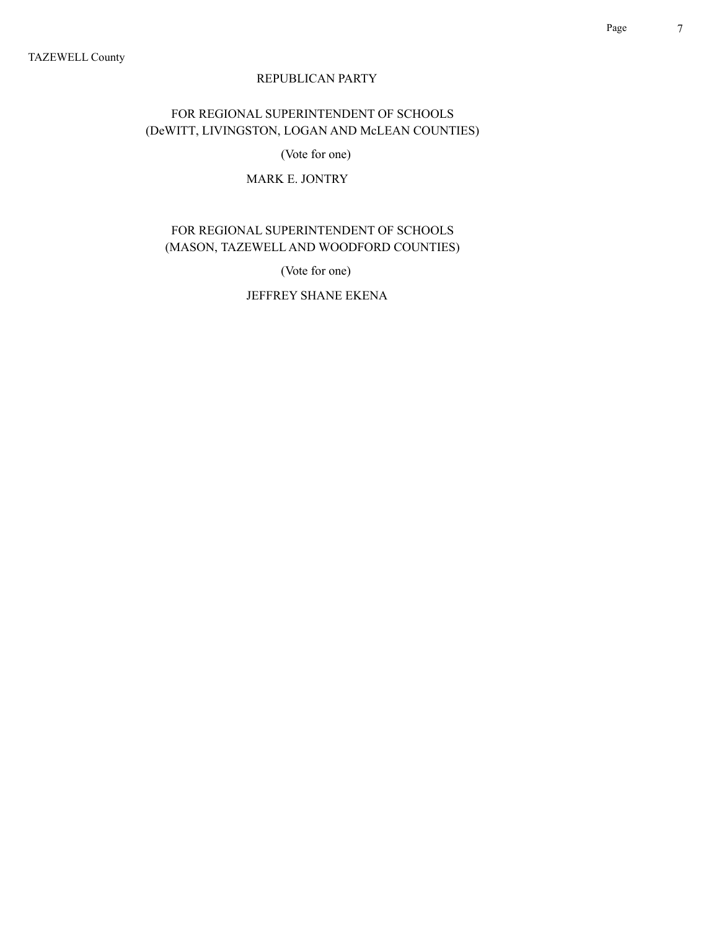## FOR REGIONAL SUPERINTENDENT OF SCHOOLS (DeWITT, LIVINGSTON, LOGAN AND McLEAN COUNTIES)

(Vote for one)

## MARK E. JONTRY

## FOR REGIONAL SUPERINTENDENT OF SCHOOLS (MASON, TAZEWELL AND WOODFORD COUNTIES)

(Vote for one)

JEFFREY SHANE EKENA